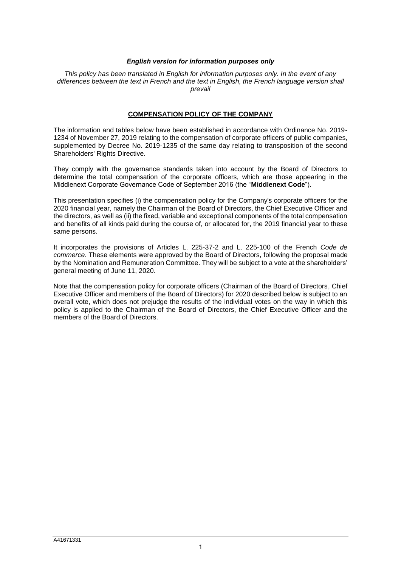#### *English version for information purposes only*

*This policy has been translated in English for information purposes only. In the event of any differences between the text in French and the text in English, the French language version shall prevail*

### **COMPENSATION POLICY OF THE COMPANY**

The information and tables below have been established in accordance with Ordinance No. 2019- 1234 of November 27, 2019 relating to the compensation of corporate officers of public companies, supplemented by Decree No. 2019-1235 of the same day relating to transposition of the second Shareholders' Rights Directive.

They comply with the governance standards taken into account by the Board of Directors to determine the total compensation of the corporate officers, which are those appearing in the Middlenext Corporate Governance Code of September 2016 (the "**Middlenext Code**").

This presentation specifies (i) the compensation policy for the Company's corporate officers for the 2020 financial year, namely the Chairman of the Board of Directors, the Chief Executive Officer and the directors, as well as (ii) the fixed, variable and exceptional components of the total compensation and benefits of all kinds paid during the course of, or allocated for, the 2019 financial year to these same persons.

It incorporates the provisions of Articles L. 225-37-2 and L. 225-100 of the French *Code de commerce*. These elements were approved by the Board of Directors, following the proposal made by the Nomination and Remuneration Committee. They will be subject to a vote at the shareholders' general meeting of June 11, 2020.

Note that the compensation policy for corporate officers (Chairman of the Board of Directors, Chief Executive Officer and members of the Board of Directors) for 2020 described below is subject to an overall vote, which does not prejudge the results of the individual votes on the way in which this policy is applied to the Chairman of the Board of Directors, the Chief Executive Officer and the members of the Board of Directors.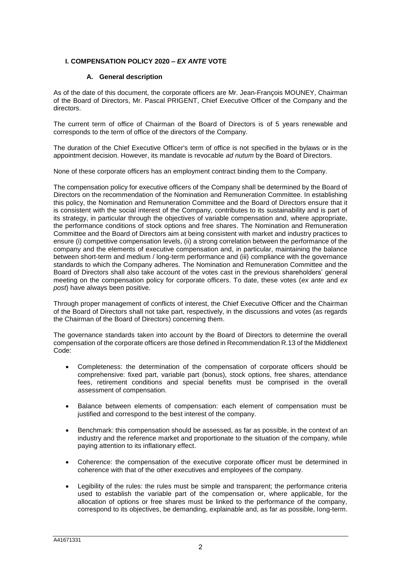# **I. COMPENSATION POLICY 2020 –** *EX ANTE* **VOTE**

# **A. General description**

As of the date of this document, the corporate officers are Mr. Jean-François MOUNEY, Chairman of the Board of Directors, Mr. Pascal PRIGENT, Chief Executive Officer of the Company and the directors.

The current term of office of Chairman of the Board of Directors is of 5 years renewable and corresponds to the term of office of the directors of the Company.

The duration of the Chief Executive Officer's term of office is not specified in the bylaws or in the appointment decision. However, its mandate is revocable *ad nutum* by the Board of Directors.

None of these corporate officers has an employment contract binding them to the Company.

The compensation policy for executive officers of the Company shall be determined by the Board of Directors on the recommendation of the Nomination and Remuneration Committee. In establishing this policy, the Nomination and Remuneration Committee and the Board of Directors ensure that it is consistent with the social interest of the Company, contributes to its sustainability and is part of its strategy, in particular through the objectives of variable compensation and, where appropriate, the performance conditions of stock options and free shares. The Nomination and Remuneration Committee and the Board of Directors aim at being consistent with market and industry practices to ensure (i) competitive compensation levels, (ii) a strong correlation between the performance of the company and the elements of executive compensation and, in particular, maintaining the balance between short-term and medium / long-term performance and (iii) compliance with the governance standards to which the Company adheres. The Nomination and Remuneration Committee and the Board of Directors shall also take account of the votes cast in the previous shareholders' general meeting on the compensation policy for corporate officers. To date, these votes (*ex ante* and *ex post*) have always been positive.

Through proper management of conflicts of interest, the Chief Executive Officer and the Chairman of the Board of Directors shall not take part, respectively, in the discussions and votes (as regards the Chairman of the Board of Directors) concerning them.

The governance standards taken into account by the Board of Directors to determine the overall compensation of the corporate officers are those defined in Recommendation R.13 of the Middlenext Code:

- Completeness: the determination of the compensation of corporate officers should be comprehensive: fixed part, variable part (bonus), stock options, free shares, attendance fees, retirement conditions and special benefits must be comprised in the overall assessment of compensation.
- Balance between elements of compensation: each element of compensation must be justified and correspond to the best interest of the company.
- Benchmark: this compensation should be assessed, as far as possible, in the context of an industry and the reference market and proportionate to the situation of the company, while paying attention to its inflationary effect.
- Coherence: the compensation of the executive corporate officer must be determined in coherence with that of the other executives and employees of the company.
- Legibility of the rules: the rules must be simple and transparent; the performance criteria used to establish the variable part of the compensation or, where applicable, for the allocation of options or free shares must be linked to the performance of the company, correspond to its objectives, be demanding, explainable and, as far as possible, long-term.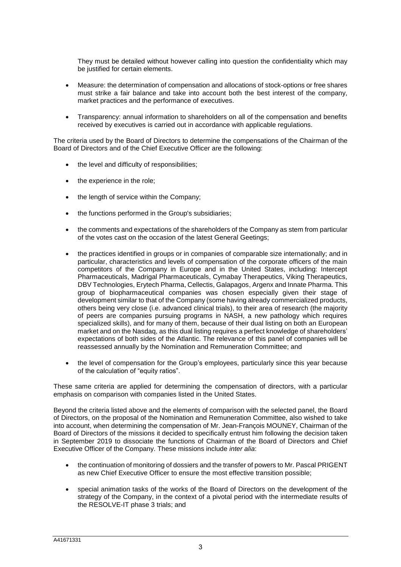They must be detailed without however calling into question the confidentiality which may be justified for certain elements.

- Measure: the determination of compensation and allocations of stock-options or free shares must strike a fair balance and take into account both the best interest of the company, market practices and the performance of executives.
- Transparency: annual information to shareholders on all of the compensation and benefits received by executives is carried out in accordance with applicable regulations.

The criteria used by the Board of Directors to determine the compensations of the Chairman of the Board of Directors and of the Chief Executive Officer are the following:

- the level and difficulty of responsibilities;
- the experience in the role;
- the length of service within the Company;
- the functions performed in the Group's subsidiaries;
- the comments and expectations of the shareholders of the Company as stem from particular of the votes cast on the occasion of the latest General Geetings;
- the practices identified in groups or in companies of comparable size internationally; and in particular, characteristics and levels of compensation of the corporate officers of the main competitors of the Company in Europe and in the United States, including: Intercept Pharmaceuticals, Madrigal Pharmaceuticals, Cymabay Therapeutics, Viking Therapeutics, DBV Technologies, Erytech Pharma, Cellectis, Galapagos, Argenx and Innate Pharma. This group of biopharmaceutical companies was chosen especially given their stage of development similar to that of the Company (some having already commercialized products, others being very close (i.e. advanced clinical trials), to their area of research (the majority of peers are companies pursuing programs in NASH, a new pathology which requires specialized skills), and for many of them, because of their dual listing on both an European market and on the Nasdaq, as this dual listing requires a perfect knowledge of shareholders' expectations of both sides of the Atlantic. The relevance of this panel of companies will be reassessed annually by the Nomination and Remuneration Committee; and
- the level of compensation for the Group's employees, particularly since this year because of the calculation of "equity ratios".

These same criteria are applied for determining the compensation of directors, with a particular emphasis on comparison with companies listed in the United States.

Beyond the criteria listed above and the elements of comparison with the selected panel, the Board of Directors, on the proposal of the Nomination and Remuneration Committee, also wished to take into account, when determining the compensation of Mr. Jean-François MOUNEY, Chairman of the Board of Directors of the missions it decided to specifically entrust him following the decision taken in September 2019 to dissociate the functions of Chairman of the Board of Directors and Chief Executive Officer of the Company. These missions include *inter alia*:

- the continuation of monitoring of dossiers and the transfer of powers to Mr. Pascal PRIGENT as new Chief Executive Officer to ensure the most effective transition possible;
- special animation tasks of the works of the Board of Directors on the development of the strategy of the Company, in the context of a pivotal period with the intermediate results of the RESOLVE-IT phase 3 trials; and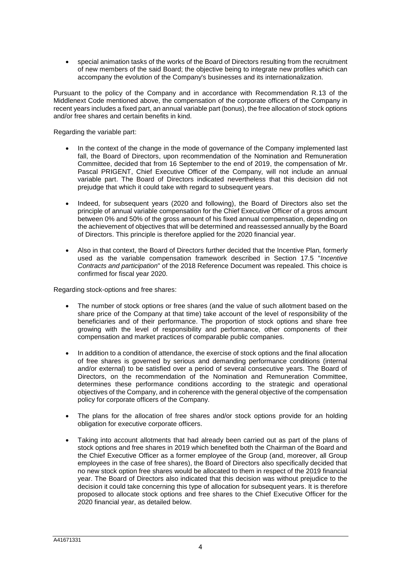special animation tasks of the works of the Board of Directors resulting from the recruitment of new members of the said Board; the objective being to integrate new profiles which can accompany the evolution of the Company's businesses and its internationalization.

Pursuant to the policy of the Company and in accordance with Recommendation R.13 of the Middlenext Code mentioned above, the compensation of the corporate officers of the Company in recent years includes a fixed part, an annual variable part (bonus), the free allocation of stock options and/or free shares and certain benefits in kind.

Regarding the variable part:

- In the context of the change in the mode of governance of the Company implemented last fall, the Board of Directors, upon recommendation of the Nomination and Remuneration Committee, decided that from 16 September to the end of 2019, the compensation of Mr. Pascal PRIGENT, Chief Executive Officer of the Company, will not include an annual variable part. The Board of Directors indicated nevertheless that this decision did not prejudge that which it could take with regard to subsequent years.
- Indeed, for subsequent years (2020 and following), the Board of Directors also set the principle of annual variable compensation for the Chief Executive Officer of a gross amount between 0% and 50% of the gross amount of his fixed annual compensation, depending on the achievement of objectives that will be determined and reassessed annually by the Board of Directors. This principle is therefore applied for the 2020 financial year.
- Also in that context, the Board of Directors further decided that the Incentive Plan*,* formerly used as the variable compensation framework described in Section 17.5 "*Incentive Contracts and participation*" of the 2018 Reference Document was repealed. This choice is confirmed for fiscal year 2020.

Regarding stock-options and free shares:

- The number of stock options or free shares (and the value of such allotment based on the share price of the Company at that time) take account of the level of responsibility of the beneficiaries and of their performance. The proportion of stock options and share free growing with the level of responsibility and performance, other components of their compensation and market practices of comparable public companies.
- In addition to a condition of attendance, the exercise of stock options and the final allocation of free shares is governed by serious and demanding performance conditions (internal and/or external) to be satisfied over a period of several consecutive years. The Board of Directors, on the recommendation of the Nomination and Remuneration Committee, determines these performance conditions according to the strategic and operational objectives of the Company, and in coherence with the general objective of the compensation policy for corporate officers of the Company.
- The plans for the allocation of free shares and/or stock options provide for an holding obligation for executive corporate officers.
- Taking into account allotments that had already been carried out as part of the plans of stock options and free shares in 2019 which benefited both the Chairman of the Board and the Chief Executive Officer as a former employee of the Group (and, moreover, all Group employees in the case of free shares), the Board of Directors also specifically decided that no new stock option free shares would be allocated to them in respect of the 2019 financial year. The Board of Directors also indicated that this decision was without prejudice to the decision it could take concerning this type of allocation for subsequent years. It is therefore proposed to allocate stock options and free shares to the Chief Executive Officer for the 2020 financial year, as detailed below.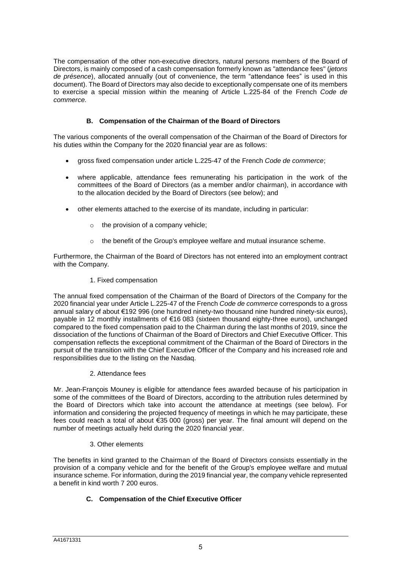The compensation of the other non-executive directors, natural persons members of the Board of Directors, is mainly composed of a cash compensation formerly known as "attendance fees" (*jetons de présence*), allocated annually (out of convenience, the term "attendance fees" is used in this document). The Board of Directors may also decide to exceptionally compensate one of its members to exercise a special mission within the meaning of Article L.225-84 of the French *Code de commerce.*

# **B. Compensation of the Chairman of the Board of Directors**

The various components of the overall compensation of the Chairman of the Board of Directors for his duties within the Company for the 2020 financial year are as follows:

- gross fixed compensation under article L.225-47 of the French *Code de commerce*;
- where applicable, attendance fees remunerating his participation in the work of the committees of the Board of Directors (as a member and/or chairman), in accordance with to the allocation decided by the Board of Directors (see below); and
- other elements attached to the exercise of its mandate, including in particular:
	- $\circ$  the provision of a company vehicle;
	- o the benefit of the Group's employee welfare and mutual insurance scheme.

Furthermore, the Chairman of the Board of Directors has not entered into an employment contract with the Company.

1. Fixed compensation

The annual fixed compensation of the Chairman of the Board of Directors of the Company for the 2020 financial year under Article L.225-47 of the French *Code de commerce* corresponds to a gross annual salary of about €192 996 (one hundred ninety-two thousand nine hundred ninety-six euros), payable in 12 monthly installments of €16 083 (sixteen thousand eighty-three euros), unchanged compared to the fixed compensation paid to the Chairman during the last months of 2019, since the dissociation of the functions of Chairman of the Board of Directors and Chief Executive Officer. This compensation reflects the exceptional commitment of the Chairman of the Board of Directors in the pursuit of the transition with the Chief Executive Officer of the Company and his increased role and responsibilities due to the listing on the Nasdaq.

# 2. Attendance fees

Mr. Jean-François Mouney is eligible for attendance fees awarded because of his participation in some of the committees of the Board of Directors, according to the attribution rules determined by the Board of Directors which take into account the attendance at meetings (see below). For information and considering the projected frequency of meetings in which he may participate, these fees could reach a total of about €35 000 (gross) per year. The final amount will depend on the number of meetings actually held during the 2020 financial year.

# 3. Other elements

The benefits in kind granted to the Chairman of the Board of Directors consists essentially in the provision of a company vehicle and for the benefit of the Group's employee welfare and mutual insurance scheme. For information, during the 2019 financial year, the company vehicle represented a benefit in kind worth 7 200 euros.

# **C. Compensation of the Chief Executive Officer**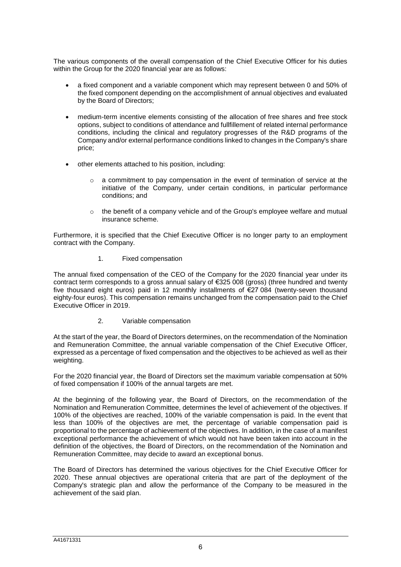The various components of the overall compensation of the Chief Executive Officer for his duties within the Group for the 2020 financial year are as follows:

- a fixed component and a variable component which may represent between 0 and 50% of the fixed component depending on the accomplishment of annual objectives and evaluated by the Board of Directors;
- medium-term incentive elements consisting of the allocation of free shares and free stock options, subject to conditions of attendance and fullfillement of related internal performance conditions, including the clinical and regulatory progresses of the R&D programs of the Company and/or external performance conditions linked to changes in the Company's share price;
- other elements attached to his position, including:
	- o a commitment to pay compensation in the event of termination of service at the initiative of the Company, under certain conditions, in particular performance conditions; and
	- $\circ$  the benefit of a company vehicle and of the Group's employee welfare and mutual insurance scheme.

Furthermore, it is specified that the Chief Executive Officer is no longer party to an employment contract with the Company.

1. Fixed compensation

The annual fixed compensation of the CEO of the Company for the 2020 financial year under its contract term corresponds to a gross annual salary of €325 008 (gross) (three hundred and twenty five thousand eight euros) paid in 12 monthly installments of €27 084 (twenty-seven thousand eighty-four euros). This compensation remains unchanged from the compensation paid to the Chief Executive Officer in 2019.

2. Variable compensation

At the start of the year, the Board of Directors determines, on the recommendation of the Nomination and Remuneration Committee, the annual variable compensation of the Chief Executive Officer, expressed as a percentage of fixed compensation and the objectives to be achieved as well as their weighting.

For the 2020 financial year, the Board of Directors set the maximum variable compensation at 50% of fixed compensation if 100% of the annual targets are met.

At the beginning of the following year, the Board of Directors, on the recommendation of the Nomination and Remuneration Committee, determines the level of achievement of the objectives. If 100% of the objectives are reached, 100% of the variable compensation is paid. In the event that less than 100% of the objectives are met, the percentage of variable compensation paid is proportional to the percentage of achievement of the objectives. In addition, in the case of a manifest exceptional performance the achievement of which would not have been taken into account in the definition of the objectives, the Board of Directors, on the recommendation of the Nomination and Remuneration Committee, may decide to award an exceptional bonus.

The Board of Directors has determined the various objectives for the Chief Executive Officer for 2020. These annual objectives are operational criteria that are part of the deployment of the Company's strategic plan and allow the performance of the Company to be measured in the achievement of the said plan.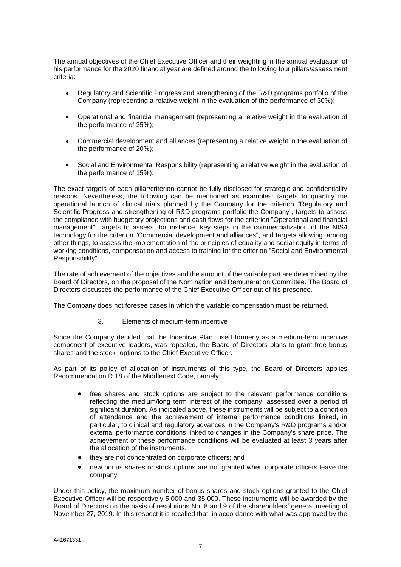The annual objectives of the Chief Executive Officer and their weighting in the annual evaluation of his performance for the 2020 financial year are defined around the following four pillars/assessment criteria:

- Regulatory and Scientific Progress and strengthening of the R&D programs portfolio of the Company (representing a relative weight in the evaluation of the performance of 30%);
- Operational and financial management (representing a relative weight in the evaluation of the performance of 35%);
- Commercial development and alliances (representing a relative weight in the evaluation of the performance of 20%);
- Social and Environmental Responsibility (representing a relative weight in the evaluation of the performance of 15%).

The exact targets of each pillar/criterion cannot be fully disclosed for strategic and confidentiality reasons. Nevertheless, the following can be mentioned as examples: targets to quantify the operational launch of clinical trials planned by the Company for the criterion "Regulatory and Scientific Progress and strengthening of R&D programs portfolio the Company", targets to assess the compliance with budgetary projections and cash flows for the criterion "Operational and financial management", targets to assess, for instance, key steps in the commercialization of the NIS4 technology for the criterion "Commercial development and alliances", and targets allowing, among other things, to assess the implementation of the principles of equality and social equity in terms of working conditions, compensation and access to training for the criterion "Social and Environmental Responsibility".

The rate of achievement of the objectives and the amount of the variable part are determined by the Board of Directors, on the proposal of the Nomination and Remuneration Committee. The Board of Directors discusses the performance of the Chief Executive Officer out of his presence.

The Company does not foresee cases in which the variable compensation must be returned.

3. Elements of medium-term incentive

Since the Company decided that the Incentive Plan, used formerly as a medium-term incentive component of executive leaders, was repealed, the Board of Directors plans to grant free bonus shares and the stock- options to the Chief Executive Officer.

As part of its policy of allocation of instruments of this type, the Board of Directors applies Recommendation R.18 of the Middlenext Code, namely:

- free shares and stock options are subject to the relevant performance conditions reflecting the medium/long term interest of the company, assessed over a period of significant duration. As indicated above, these instruments will be subject to a condition of attendance and the achievement of internal performance conditions linked, in particular, to clinical and regulatory advances in the Company's R&D programs and/or external performance conditions linked to changes in the Company's share price. The achievement of these performance conditions will be evaluated at least 3 years after the allocation of the instruments.
- they are not concentrated on corporate officers; and
- new bonus shares or stock options are not granted when corporate officers leave the company.

Under this policy, the maximum number of bonus shares and stock options granted to the Chief Executive Officer will be respectively 5 000 and 35 000. These instruments will be awarded by the Board of Directors on the basis of resolutions No. 8 and 9 of the shareholders' general meeting of November 27, 2019. In this respect it is recalled that, in accordance with what was approved by the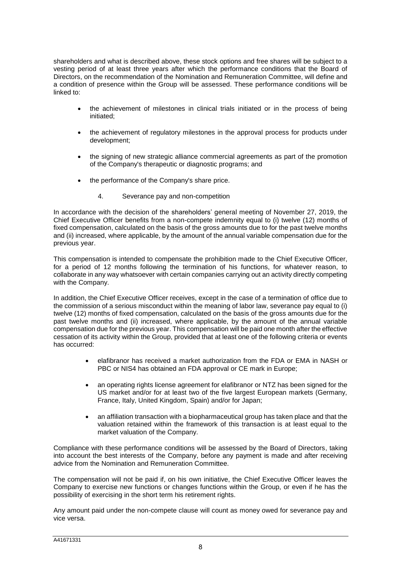shareholders and what is described above, these stock options and free shares will be subject to a vesting period of at least three years after which the performance conditions that the Board of Directors, on the recommendation of the Nomination and Remuneration Committee, will define and a condition of presence within the Group will be assessed. These performance conditions will be linked to:

- the achievement of milestones in clinical trials initiated or in the process of being initiated;
- the achievement of regulatory milestones in the approval process for products under development;
- the signing of new strategic alliance commercial agreements as part of the promotion of the Company's therapeutic or diagnostic programs; and
- the performance of the Company's share price.
	- 4. Severance pay and non-competition

In accordance with the decision of the shareholders' general meeting of November 27, 2019, the Chief Executive Officer benefits from a non-compete indemnity equal to (i) twelve (12) months of fixed compensation, calculated on the basis of the gross amounts due to for the past twelve months and (ii) increased, where applicable, by the amount of the annual variable compensation due for the previous year.

This compensation is intended to compensate the prohibition made to the Chief Executive Officer, for a period of 12 months following the termination of his functions, for whatever reason, to collaborate in any way whatsoever with certain companies carrying out an activity directly competing with the Company.

In addition, the Chief Executive Officer receives, except in the case of a termination of office due to the commission of a serious misconduct within the meaning of labor law, severance pay equal to (i) twelve (12) months of fixed compensation, calculated on the basis of the gross amounts due for the past twelve months and (ii) increased, where applicable, by the amount of the annual variable compensation due for the previous year. This compensation will be paid one month after the effective cessation of its activity within the Group, provided that at least one of the following criteria or events has occurred:

- elafibranor has received a market authorization from the FDA or EMA in NASH or PBC or NIS4 has obtained an FDA approval or CE mark in Europe;
- an operating rights license agreement for elafibranor or NTZ has been signed for the US market and/or for at least two of the five largest European markets (Germany, France, Italy, United Kingdom, Spain) and/or for Japan;
- an affiliation transaction with a biopharmaceutical group has taken place and that the valuation retained within the framework of this transaction is at least equal to the market valuation of the Company.

Compliance with these performance conditions will be assessed by the Board of Directors, taking into account the best interests of the Company, before any payment is made and after receiving advice from the Nomination and Remuneration Committee.

The compensation will not be paid if, on his own initiative, the Chief Executive Officer leaves the Company to exercise new functions or changes functions within the Group, or even if he has the possibility of exercising in the short term his retirement rights.

Any amount paid under the non-compete clause will count as money owed for severance pay and vice versa.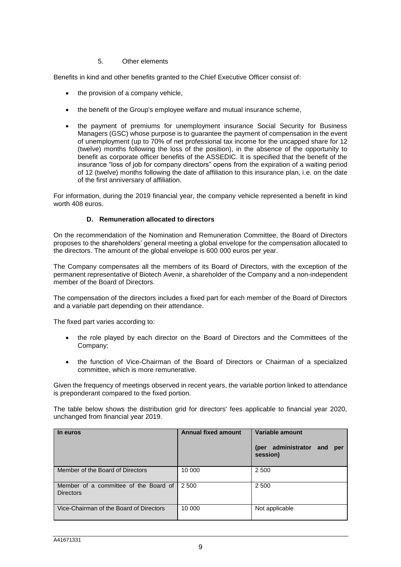### 5. Other elements

Benefits in kind and other benefits granted to the Chief Executive Officer consist of:

- the provision of a company vehicle,
- the benefit of the Group's employee welfare and mutual insurance scheme,
- the payment of premiums for unemployment insurance Social Security for Business Managers (GSC) whose purpose is to guarantee the payment of compensation in the event of unemployment (up to 70% of net professional tax income for the uncapped share for 12 (twelve) months following the loss of the position), in the absence of the opportunity to benefit as corporate officer benefits of the ASSEDIC. It is specified that the benefit of the insurance "loss of job for company directors" opens from the expiration of a waiting period of 12 (twelve) months following the date of affiliation to this insurance plan, i.e. on the date of the first anniversary of affiliation.

For information, during the 2019 financial year, the company vehicle represented a benefit in kind worth 408 euros.

### **D. Remuneration allocated to directors**

On the recommendation of the Nomination and Remuneration Committee, the Board of Directors proposes to the shareholders' general meeting a global envelope for the compensation allocated to the directors. The amount of the global envelope is 600 000 euros per year.

The Company compensates all the members of its Board of Directors, with the exception of the permanent representative of Biotech Avenir, a shareholder of the Company and a non-independent member of the Board of Directors.

The compensation of the directors includes a fixed part for each member of the Board of Directors and a variable part depending on their attendance.

The fixed part varies according to:

- the role played by each director on the Board of Directors and the Committees of the Company;
- the function of Vice-Chairman of the Board of Directors or Chairman of a specialized committee, which is more remunerative.

Given the frequency of meetings observed in recent years, the variable portion linked to attendance is preponderant compared to the fixed portion.

The table below shows the distribution grid for directors' fees applicable to financial year 2020, unchanged from financial year 2019.

| In euros                                                  | <b>Annual fixed amount</b> | Variable amount<br>administrator<br>(per<br>and<br>per<br>session) |
|-----------------------------------------------------------|----------------------------|--------------------------------------------------------------------|
| Member of the Board of Directors                          | 10 000                     | 2 500                                                              |
| Member of a committee of the Board of<br><b>Directors</b> | 2 500                      | 2 500                                                              |
| Vice-Chairman of the Board of Directors                   | 10 000                     | Not applicable                                                     |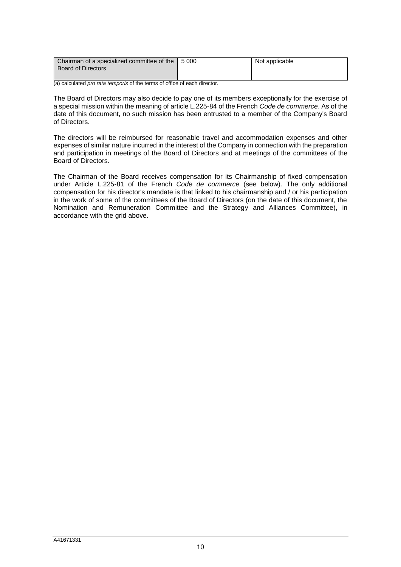| Chairman of a specialized committee of the | 15000 | Not applicable |
|--------------------------------------------|-------|----------------|
| Board of Directors                         |       |                |
|                                            |       |                |

(a) calculated *pro rata temporis* of the terms of office of each director.

The Board of Directors may also decide to pay one of its members exceptionally for the exercise of a special mission within the meaning of article L.225-84 of the French *Code de commerce*. As of the date of this document, no such mission has been entrusted to a member of the Company's Board of Directors.

The directors will be reimbursed for reasonable travel and accommodation expenses and other expenses of similar nature incurred in the interest of the Company in connection with the preparation and participation in meetings of the Board of Directors and at meetings of the committees of the Board of Directors.

The Chairman of the Board receives compensation for its Chairmanship of fixed compensation under Article L.225-81 of the French *Code de commerce* (see below). The only additional compensation for his director's mandate is that linked to his chairmanship and / or his participation in the work of some of the committees of the Board of Directors (on the date of this document, the Nomination and Remuneration Committee and the Strategy and Alliances Committee), in accordance with the grid above.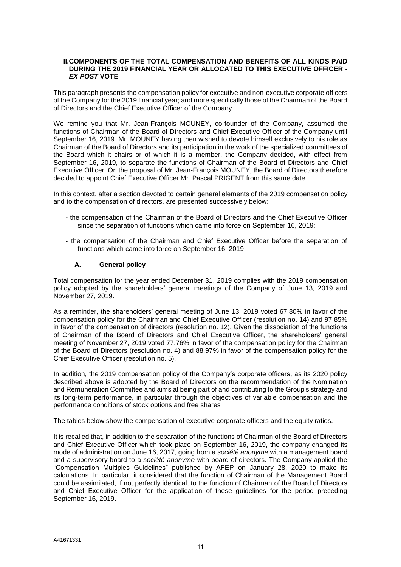#### **II.COMPONENTS OF THE TOTAL COMPENSATION AND BENEFITS OF ALL KINDS PAID DURING THE 2019 FINANCIAL YEAR OR ALLOCATED TO THIS EXECUTIVE OFFICER -** *EX POST* **VOTE**

This paragraph presents the compensation policy for executive and non-executive corporate officers of the Company for the 2019 financial year; and more specifically those of the Chairman of the Board of Directors and the Chief Executive Officer of the Company.

We remind you that Mr. Jean-François MOUNEY, co-founder of the Company, assumed the functions of Chairman of the Board of Directors and Chief Executive Officer of the Company until September 16, 2019. Mr. MOUNEY having then wished to devote himself exclusively to his role as Chairman of the Board of Directors and its participation in the work of the specialized committees of the Board which it chairs or of which it is a member, the Company decided, with effect from September 16, 2019, to separate the functions of Chairman of the Board of Directors and Chief Executive Officer. On the proposal of Mr. Jean-François MOUNEY, the Board of Directors therefore decided to appoint Chief Executive Officer Mr. Pascal PRIGENT from this same date.

In this context, after a section devoted to certain general elements of the 2019 compensation policy and to the compensation of directors, are presented successively below:

- the compensation of the Chairman of the Board of Directors and the Chief Executive Officer since the separation of functions which came into force on September 16, 2019;
- the compensation of the Chairman and Chief Executive Officer before the separation of functions which came into force on September 16, 2019;

# **A. General policy**

Total compensation for the year ended December 31, 2019 complies with the 2019 compensation policy adopted by the shareholders' general meetings of the Company of June 13, 2019 and November 27, 2019.

As a reminder, the shareholders' general meeting of June 13, 2019 voted 67.80% in favor of the compensation policy for the Chairman and Chief Executive Officer (resolution no. 14) and 97.85% in favor of the compensation of directors (resolution no. 12). Given the dissociation of the functions of Chairman of the Board of Directors and Chief Executive Officer, the shareholders' general meeting of November 27, 2019 voted 77.76% in favor of the compensation policy for the Chairman of the Board of Directors (resolution no. 4) and 88.97% in favor of the compensation policy for the Chief Executive Officer (resolution no. 5).

In addition, the 2019 compensation policy of the Company's corporate officers, as its 2020 policy described above is adopted by the Board of Directors on the recommendation of the Nomination and Remuneration Committee and aims at being part of and contributing to the Group's strategy and its long-term performance, in particular through the objectives of variable compensation and the performance conditions of stock options and free shares

The tables below show the compensation of executive corporate officers and the equity ratios.

It is recalled that, in addition to the separation of the functions of Chairman of the Board of Directors and Chief Executive Officer which took place on September 16, 2019, the company changed its mode of administration on June 16, 2017, going from a *société anonyme* with a management board and a supervisory board to a *société anonyme* with board of directors. The Company applied the "Compensation Multiples Guidelines" published by AFEP on January 28, 2020 to make its calculations. In particular, it considered that the function of Chairman of the Management Board could be assimilated, if not perfectly identical, to the function of Chairman of the Board of Directors and Chief Executive Officer for the application of these guidelines for the period preceding September 16, 2019.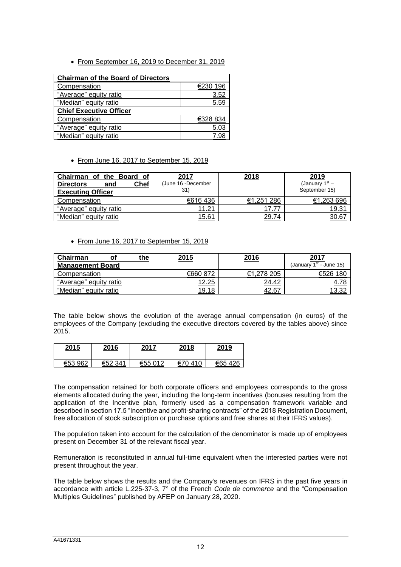• From September 16, 2019 to December 31, 2019

| <b>Chairman of the Board of Directors</b> |          |  |  |
|-------------------------------------------|----------|--|--|
| Compensation                              | €230 196 |  |  |
| "Average" equity ratio                    | 3.52     |  |  |
| "Median" equity ratio                     | 5.59     |  |  |
| <b>Chief Executive Officer</b>            |          |  |  |
| Compensation                              | €328 834 |  |  |
| "Average" equity ratio                    |          |  |  |
| "Median" equity ratio                     |          |  |  |

From June 16, 2017 to September 15, 2019

| the Board of<br>Chairman<br>οf  | 2017               | 2018       | 2019             |
|---------------------------------|--------------------|------------|------------------|
| Chef<br><b>Directors</b><br>and | (June 16 -December |            | (January $1st$ – |
| <b>Executing Officer</b>        | 31)                |            | September 15)    |
| Compensation                    | €616436            | €1.251 286 | €1,263 696       |
| "Average" equity ratio          | 11.21              | 17.77      | 19.31            |
| "Median" equity ratio           | 15.61              | 29.74      | 30.67            |

From June 16, 2017 to September 15, 2019

| Chairman                | the | 2015     | 2016       | 2017                      |
|-------------------------|-----|----------|------------|---------------------------|
| <b>Management Board</b> |     |          |            | (January $1st$ - June 15) |
| Compensation            |     | €660 872 | €1.278 205 | €526 180                  |
| "Average" equity ratio  |     | 12.25    | 24.42      | 4.78                      |
| "Median" equity ratio   |     | 19.18    | 42.67      | 13.32                     |

The table below shows the evolution of the average annual compensation (in euros) of the employees of the Company (excluding the executive directors covered by the tables above) since 2015.

| 2015    | 2016    | 2017    | 2018       | 2019   |
|---------|---------|---------|------------|--------|
| €53 962 | €52 341 | €55 012 | €70<br>410 | €65426 |

The compensation retained for both corporate officers and employees corresponds to the gross elements allocated during the year, including the long-term incentives (bonuses resulting from the application of the Incentive plan, formerly used as a compensation framework variable and described in section 17.5 "Incentive and profit-sharing contracts" of the 2018 Registration Document, free allocation of stock subscription or purchase options and free shares at their IFRS values).

The population taken into account for the calculation of the denominator is made up of employees present on December 31 of the relevant fiscal year.

Remuneration is reconstituted in annual full-time equivalent when the interested parties were not present throughout the year.

The table below shows the results and the Company's revenues on IFRS in the past five years in accordance with article L.225-37-3, 7° of the French *Code de commerce* and the "Compensation Multiples Guidelines" published by AFEP on January 28, 2020.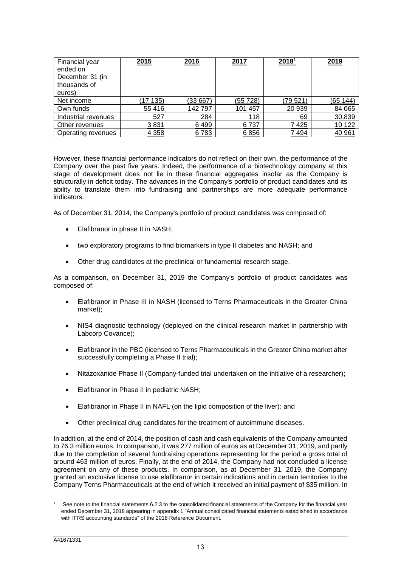| Financial year<br>ended on<br>December 31 (in<br>thousands of<br>euros) | 2015    | 2016    | 2017     | 2018 <sup>1</sup> | 2019     |
|-------------------------------------------------------------------------|---------|---------|----------|-------------------|----------|
| Net income                                                              | (17135) | (33667) | (55 728) | (79 521)          | (65 144) |
| Own funds                                                               | 55 416  | 142797  | 101 457  | 20 939            | 84 065   |
| Industrial revenues                                                     | 527     | 284     | 118      | 69                | 30,839   |
| Other revenues                                                          | 3831    | 6499    | 6737     | 7425              | 10 122   |
| Operating revenues                                                      | 4 3 5 8 | 6783    | 6856     | 7494              | 40 961   |

However, these financial performance indicators do not reflect on their own, the performance of the Company over the past five years. Indeed, the performance of a biotechnology company at this stage of development does not lie in these financial aggregates insofar as the Company is structurally in deficit today. The advances in the Company's portfolio of product candidates and its ability to translate them into fundraising and partnerships are more adequate performance indicators.

As of December 31, 2014, the Company's portfolio of product candidates was composed of:

- Elafibranor in phase II in NASH;
- two exploratory programs to find biomarkers in type II diabetes and NASH; and
- Other drug candidates at the preclinical or fundamental research stage.

As a comparison, on December 31, 2019 the Company's portfolio of product candidates was composed of:

- Elafibranor in Phase III in NASH (licensed to Terns Pharmaceuticals in the Greater China market);
- NIS4 diagnostic technology (deployed on the clinical research market in partnership with Labcorp Covance);
- Elafibranor in the PBC (licensed to Terns Pharmaceuticals in the Greater China market after successfully completing a Phase II trial);
- Nitazoxanide Phase II (Company-funded trial undertaken on the initiative of a researcher);
- Elafibranor in Phase II in pediatric NASH;
- Elafibranor in Phase II in NAFL (on the lipid composition of the liver); and
- Other preclinical drug candidates for the treatment of autoimmune diseases.

In addition, at the end of 2014, the position of cash and cash equivalents of the Company amounted to 76.3 million euros. In comparison, it was 277 million of euros as at December 31, 2019, and partly due to the completion of several fundraising operations representing for the period a gross total of around 463 million of euros. Finally, at the end of 2014, the Company had not concluded a license agreement on any of these products. In comparison, as at December 31, 2019, the Company granted an exclusive license to use elafibranor in certain indications and in certain territories to the Company Terns Pharmaceuticals at the end of which it received an initial payment of \$35 million. In

-

See note to the financial statements 6.2.3 to the consolidated financial statements of the Company for the financial year ended December 31, 2018 appearing in appendix 1 "Annual consolidated financial statements established in accordance with IFRS accounting standards" of the 2018 Reference Document.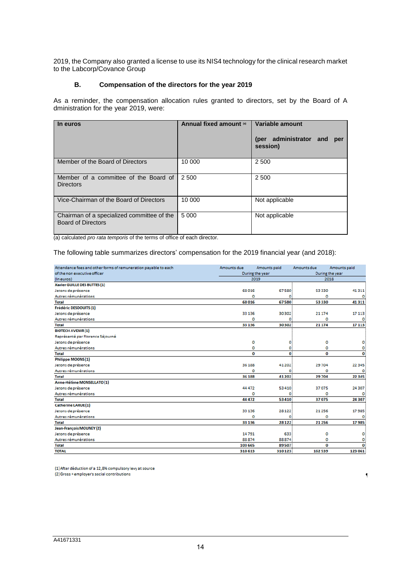2019, the Company also granted a license to use its NIS4 technology for the clinical research market to the Labcorp/Covance Group

### **B. Compensation of the directors for the year 2019**

As a reminder, the compensation allocation rules granted to directors, set by the Board of A dministration for the year 2019, were:

| In euros                                                                | Annual fixed amount (a) | Variable amount<br>administrator<br>(per<br>and<br>per<br>session) |
|-------------------------------------------------------------------------|-------------------------|--------------------------------------------------------------------|
| Member of the Board of Directors                                        | 10 000                  | 2 500                                                              |
| Member of a committee of the Board of<br><b>Directors</b>               | 2 500                   | 2 500                                                              |
| Vice-Chairman of the Board of Directors                                 | 10 000                  | Not applicable                                                     |
| Chairman of a specialized committee of the<br><b>Board of Directors</b> | 5 0 0 0                 | Not applicable                                                     |

(a) calculated *pro rata temporis* of the terms of office of each director.

The following table summarizes directors' compensation for the 2019 financial year (and 2018):

| Attendance fees and other forms of remuneration payable to each | Amounts due     | Amounts paid | Amounts due     | Amounts paid |
|-----------------------------------------------------------------|-----------------|--------------|-----------------|--------------|
| of the non executive officer                                    | During the year |              | During the year |              |
| (In euros)                                                      | 2019            |              | 2018            |              |
| Xavier GUILLE DES BUTTES (1)                                    |                 |              |                 |              |
| Jetons de présence                                              | 68016           | 67580        | 53 330          | 41311        |
| Autres rémunérations                                            | o               | ٥            | $\Omega$        | o            |
| <b>Total</b>                                                    | 68016           | 67580        | 53330           | 41311        |
| Frédéric DESDOUITS (1)                                          |                 |              |                 |              |
| Jetons de présence                                              | 33 136          | 30302        | 21 174          | 17 11 3      |
| Autres rémunérations                                            | o               | ٥            | ٥               |              |
| <b>Total</b>                                                    | 33 136          | 30302        | 21 1 7 4        | 17113        |
| <b>BIOTECH AVENIR (1)</b>                                       |                 |              |                 |              |
| Représenté par Florence Séjourné                                |                 |              |                 |              |
| Jetons de présence                                              | ٥               | ٥            | o               | ٥            |
| Autres rémunérations                                            | ٥               | ٥            | ٥               | ٥            |
| <b>Total</b>                                                    | o               | o            | 0               | 0            |
| Philippe MOONS (1)                                              |                 |              |                 |              |
| Jetons de présence                                              | 36 188          | 41 202       | 29704           | 22 345       |
| Autres rémunérations                                            | ٥               | o            | o               | ٥            |
| <b>Total</b>                                                    | 36 188          | 41 202       | 29704           | 22 3 45      |
| Anne-Hélène MONSELLATO (1)                                      |                 |              |                 |              |
| Jetons de présence                                              | 44 4 72         | 53 410       | 37075           | 24 307       |
| Autres rémunérations                                            | ٥               | ٥            | o               | o            |
| <b>Total</b>                                                    | 44 4 7 2        | 53 410       | 37075           | 24 307       |
| <b>Catherine LARUE (1)</b>                                      |                 |              |                 |              |
| Jetons de présence                                              | 33 136          | 28 1 22      | 21256           | 17985        |
| Autres rémunérations                                            | o               | ٥            | ٥               | o            |
| <b>Total</b>                                                    | 33 136          | 28 1 22      | 21 25 6         | 17985        |
| Jean-François MOUNEY (2)                                        |                 |              |                 |              |
| Jetons de présence                                              | 14791           | 633          | ٥               | ٥            |
| Autres rémunérations                                            | 88874           | 88874        | ٥               | ٥            |
| <b>Total</b>                                                    | 103 665         | 89507        | 0               | O            |
| <b>TOTAL</b>                                                    | 318613          | 310 123      | 162539          | 123 061      |

 $\P$ 

(1) After déduction of a 12,8% compulsory levy at source (2) Gross + employer's social contributions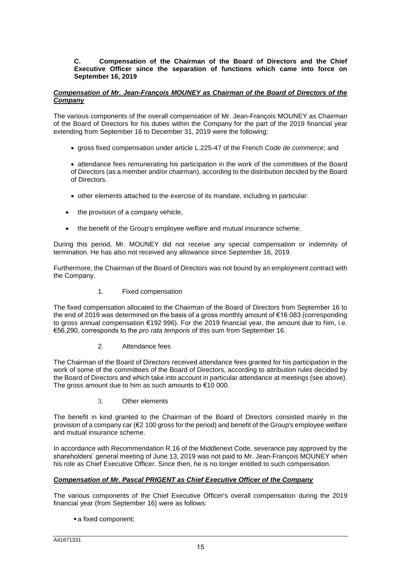### **C. Compensation of the Chairman of the Board of Directors and the Chief Executive Officer since the separation of functions which came into force on September 16, 2019**

# *Compensation of Mr. Jean-François MOUNEY as Chairman of the Board of Directors of the Company*

The various components of the overall compensation of Mr. Jean-François MOUNEY as Chairman of the Board of Directors for his duties within the Company for the part of the 2019 financial year extending from September 16 to December 31, 2019 were the following:

gross fixed compensation under article L.225-47 of the French *Code de commerce*; and

 attendance fees remunerating his participation in the work of the committees of the Board of Directors (as a member and/or chairman), according to the distribution decided by the Board of Directors.

- other elements attached to the exercise of its mandate, including in particular:
- the provision of a company vehicle,
- the benefit of the Group's employee welfare and mutual insurance scheme.

During this period, Mr. MOUNEY did not receive any special compensation or indemnity of termination. He has also not received any allowance since September 16, 2019.

Furthermore, the Chairman of the Board of Directors was not bound by an employment contract with the Company.

1. Fixed compensation

The fixed compensation allocated to the Chairman of the Board of Directors from September 16 to the end of 2019 was determined on the basis of a gross monthly amount of €16 083 (corresponding to gross annual compensation €192 996). For the 2019 financial year, the amount due to him, i.e. €56,290, corresponds to the *pro rata temporis* of this sum from September 16.

2. Attendance fees

The Chairman of the Board of Directors received attendance fees granted for his participation in the work of some of the committees of the Board of Directors, according to attribution rules decided by the Board of Directors and which take into account in particular attendance at meetings (see above). The gross amount due to him as such amounts to €10 000.

3. Other elements

The benefit in kind granted to the Chairman of the Board of Directors consisted mainly in the provision of a company car (€2 100 gross for the period) and benefit of the Group's employee welfare and mutual insurance scheme.

In accordance with Recommendation R.16 of the Middlenext Code, severance pay approved by the shareholders' general meeting of June 13, 2019 was not paid to Mr. Jean-François MOUNEY when his role as Chief Executive Officer. Since then, he is no longer entitled to such compensation.

# *Compensation of Mr. Pascal PRIGENT as Chief Executive Officer of the Company*

The various components of the Chief Executive Officer's overall compensation during the 2019 financial year (from September 16) were as follows:

a fixed component;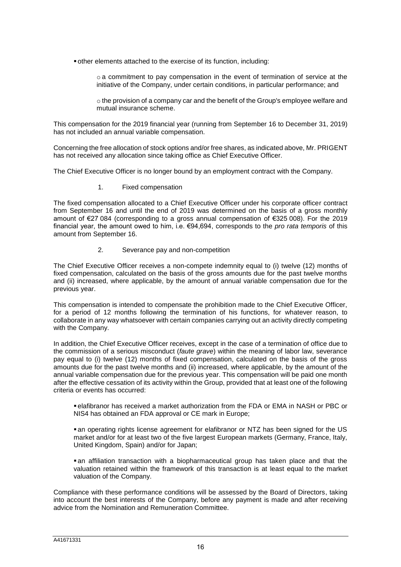- other elements attached to the exercise of its function, including:
	- o a commitment to pay compensation in the event of termination of service at the initiative of the Company, under certain conditions, in particular performance; and
	- o the provision of a company car and the benefit of the Group's employee welfare and mutual insurance scheme.

This compensation for the 2019 financial year (running from September 16 to December 31, 2019) has not included an annual variable compensation.

Concerning the free allocation of stock options and/or free shares, as indicated above, Mr. PRIGENT has not received any allocation since taking office as Chief Executive Officer.

The Chief Executive Officer is no longer bound by an employment contract with the Company.

1. Fixed compensation

The fixed compensation allocated to a Chief Executive Officer under his corporate officer contract from September 16 and until the end of 2019 was determined on the basis of a gross monthly amount of €27 084 (corresponding to a gross annual compensation of €325 008). For the 2019 financial year, the amount owed to him, i.e. €94,694, corresponds to the *pro rata temporis* of this amount from September 16.

### 2. Severance pay and non-competition

The Chief Executive Officer receives a non-compete indemnity equal to (i) twelve (12) months of fixed compensation, calculated on the basis of the gross amounts due for the past twelve months and (ii) increased, where applicable, by the amount of annual variable compensation due for the previous year.

This compensation is intended to compensate the prohibition made to the Chief Executive Officer, for a period of 12 months following the termination of his functions, for whatever reason, to collaborate in any way whatsoever with certain companies carrying out an activity directly competing with the Company.

In addition, the Chief Executive Officer receives, except in the case of a termination of office due to the commission of a serious misconduct (*faute grave*) within the meaning of labor law, severance pay equal to (i) twelve (12) months of fixed compensation, calculated on the basis of the gross amounts due for the past twelve months and (ii) increased, where applicable, by the amount of the annual variable compensation due for the previous year. This compensation will be paid one month after the effective cessation of its activity within the Group, provided that at least one of the following criteria or events has occurred:

 elafibranor has received a market authorization from the FDA or EMA in NASH or PBC or NIS4 has obtained an FDA approval or CE mark in Europe;

 an operating rights license agreement for elafibranor or NTZ has been signed for the US market and/or for at least two of the five largest European markets (Germany, France, Italy, United Kingdom, Spain) and/or for Japan;

 an affiliation transaction with a biopharmaceutical group has taken place and that the valuation retained within the framework of this transaction is at least equal to the market valuation of the Company.

Compliance with these performance conditions will be assessed by the Board of Directors, taking into account the best interests of the Company, before any payment is made and after receiving advice from the Nomination and Remuneration Committee.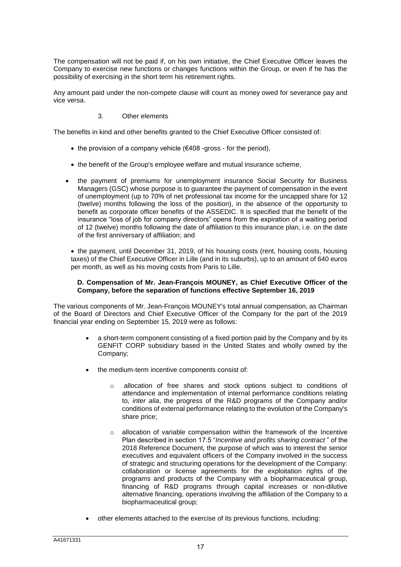The compensation will not be paid if, on his own initiative, the Chief Executive Officer leaves the Company to exercise new functions or changes functions within the Group, or even if he has the possibility of exercising in the short term his retirement rights.

Any amount paid under the non-compete clause will count as money owed for severance pay and vice versa.

# 3. Other elements

The benefits in kind and other benefits granted to the Chief Executive Officer consisted of:

- the provision of a company vehicle  $(\text{\textsterling}408$  -gross for the period),
- the benefit of the Group's employee welfare and mutual insurance scheme,
- the payment of premiums for unemployment insurance Social Security for Business Managers (GSC) whose purpose is to guarantee the payment of compensation in the event of unemployment (up to 70% of net professional tax income for the uncapped share for 12 (twelve) months following the loss of the position), in the absence of the opportunity to benefit as corporate officer benefits of the ASSEDIC. It is specified that the benefit of the insurance "loss of job for company directors" opens from the expiration of a waiting period of 12 (twelve) months following the date of affiliation to this insurance plan, i.e. on the date of the first anniversary of affiliation; and

 the payment, until December 31, 2019, of his housing costs (rent, housing costs, housing taxes) of the Chief Executive Officer in Lille (and in its suburbs), up to an amount of 640 euros per month, as well as his moving costs from Paris to Lille.

### **D. Compensation of Mr. Jean-François MOUNEY, as Chief Executive Officer of the Company, before the separation of functions effective September 16, 2019**

The various components of Mr. Jean-François MOUNEY's total annual compensation, as Chairman of the Board of Directors and Chief Executive Officer of the Company for the part of the 2019 financial year ending on September 15, 2019 were as follows:

- a short-term component consisting of a fixed portion paid by the Company and by its GENFIT CORP subsidiary based in the United States and wholly owned by the Company;
- the medium-term incentive components consist of:
	- $\circ$  allocation of free shares and stock options subject to conditions of attendance and implementation of internal performance conditions relating to, *inter alia*, the progress of the R&D programs of the Company and/or conditions of external performance relating to the evolution of the Company's share price;
	- $\circ$  allocation of variable compensation within the framework of the Incentive Plan described in section 17.5 "*Incentive and profits sharing contract* " of the 2018 Reference Document, the purpose of which was to interest the senior executives and equivalent officers of the Company involved in the success of strategic and structuring operations for the development of the Company: collaboration or license agreements for the exploitation rights of the programs and products of the Company with a biopharmaceutical group, financing of R&D programs through capital increases or non-dilutive alternative financing, operations involving the affiliation of the Company to a biopharmaceutical group;
- other elements attached to the exercise of its previous functions, including: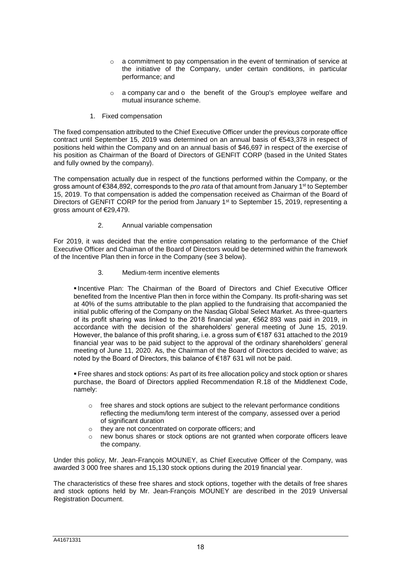- o a commitment to pay compensation in the event of termination of service at the initiative of the Company, under certain conditions, in particular performance; and
- $\circ$  a company car and  $\circ$  the benefit of the Group's employee welfare and mutual insurance scheme.
- 1. Fixed compensation

The fixed compensation attributed to the Chief Executive Officer under the previous corporate office contract until September 15, 2019 was determined on an annual basis of €543,378 in respect of positions held within the Company and on an annual basis of \$46,697 in respect of the exercise of his position as Chairman of the Board of Directors of GENFIT CORP (based in the United States and fully owned by the company).

The compensation actually due in respect of the functions performed within the Company, or the gross amount of €384,892, corresponds to the *pro rata* of that amount from January 1<sup>st</sup> to September 15, 2019. To that compensation is added the compensation received as Chairman of the Board of Directors of GENFIT CORP for the period from January  $1<sup>st</sup>$  to September 15, 2019, representing a gross amount of €29,479.

2. Annual variable compensation

For 2019, it was decided that the entire compensation relating to the performance of the Chief Executive Officer and Chaiman of the Board of Directors would be determined within the framework of the Incentive Plan then in force in the Company (see 3 below).

3. Medium-term incentive elements

 Incentive Plan: The Chairman of the Board of Directors and Chief Executive Officer benefited from the Incentive Plan then in force within the Company. Its profit-sharing was set at 40% of the sums attributable to the plan applied to the fundraising that accompanied the initial public offering of the Company on the Nasdaq Global Select Market. As three-quarters of its profit sharing was linked to the 2018 financial year, €562 893 was paid in 2019, in accordance with the decision of the shareholders' general meeting of June 15, 2019. However, the balance of this profit sharing, i.e. a gross sum of €187 631 attached to the 2019 financial year was to be paid subject to the approval of the ordinary shareholders' general meeting of June 11, 2020. As, the Chairman of the Board of Directors decided to waive; as noted by the Board of Directors, this balance of €187 631 will not be paid.

 Free shares and stock options: As part of its free allocation policy and stock option or shares purchase, the Board of Directors applied Recommendation R.18 of the Middlenext Code, namely:

- $\circ$  free shares and stock options are subject to the relevant performance conditions reflecting the medium/long term interest of the company, assessed over a period of significant duration
- o they are not concentrated on corporate officers; and
- $\circ$  new bonus shares or stock options are not granted when corporate officers leave the company.

Under this policy, Mr. Jean-François MOUNEY, as Chief Executive Officer of the Company, was awarded 3 000 free shares and 15,130 stock options during the 2019 financial year.

The characteristics of these free shares and stock options, together with the details of free shares and stock options held by Mr. Jean-François MOUNEY are described in the 2019 Universal Registration Document.